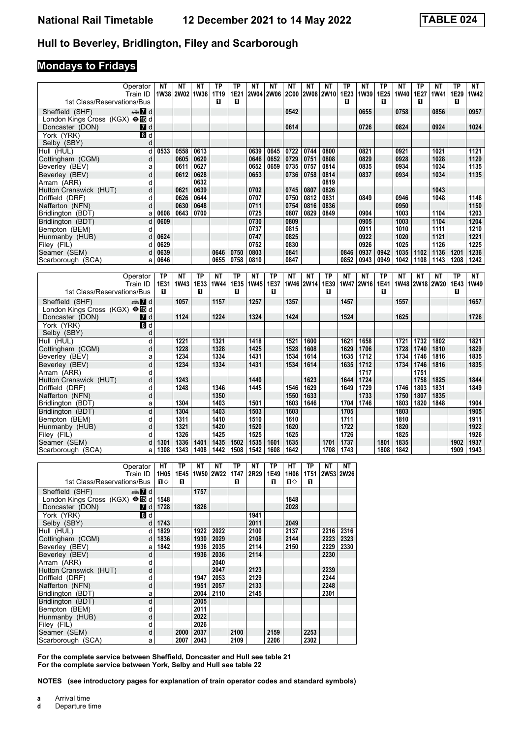#### **Hull to Beverley, Bridlington, Filey and Scarborough**

#### **Mondays to Fridays**

| Operator<br>Train ID                             | <b>NT</b>    | <b>NT</b><br>1W38 2W02 | <b>NT</b><br>1W36 | <b>TP</b><br>1T19 | <b>TP</b><br>1E21 | <b>NT</b>   | <b>NT</b><br>2W04 2W06 | <b>NT</b><br><b>2C00</b> | <b>NT</b>    | <b>NT</b><br>2W08 2W10 | <b>TP</b><br>1E23 | <b>NT</b><br>1W39 | <b>TP</b><br>1E25 | <b>NT</b><br>1W40 | <b>TP</b><br>1E27 | <b>NT</b><br>1W41 | <b>TP</b><br>1E29 | <b>NT</b><br><b>1W42</b> |
|--------------------------------------------------|--------------|------------------------|-------------------|-------------------|-------------------|-------------|------------------------|--------------------------|--------------|------------------------|-------------------|-------------------|-------------------|-------------------|-------------------|-------------------|-------------------|--------------------------|
| 1st Class/Reservations/Bus                       |              |                        |                   | п                 | П                 |             |                        |                          |              |                        | п                 |                   | D.                |                   | п                 |                   | п                 |                          |
| Sheffield (SHF)<br>d Ma                          |              |                        |                   |                   |                   |             |                        | 0542                     |              |                        |                   | 0655              |                   | 0758              |                   | 0856              |                   | 0957                     |
| London Kings Cross (KGX) → I d                   |              |                        |                   |                   |                   |             |                        |                          |              |                        |                   |                   |                   |                   |                   |                   |                   |                          |
| Doncaster (DON)<br><b>7</b> d<br><u> Maria A</u> |              |                        |                   |                   |                   |             |                        | 0614                     |              |                        |                   | 0726              |                   | 0824              |                   | 0924              |                   | 1024                     |
| 8d<br>York (YRK)                                 |              |                        |                   |                   |                   |             |                        |                          |              |                        |                   |                   |                   |                   |                   |                   |                   |                          |
| Selby (SBY)<br>d                                 |              |                        |                   |                   |                   |             |                        |                          |              |                        |                   |                   |                   |                   |                   |                   |                   |                          |
| d<br>Hull (HUL)                                  | 0533         | 0558                   | 0613              |                   |                   | 0639        | 0645                   | 0722                     | 0744         | 0800                   |                   | 0821              |                   | 0921              |                   | 1021              |                   | 1121                     |
| Cottingham (CGM)<br>d                            |              | 0605                   | 0620              |                   |                   | 0646        | 0652                   | 0729                     | 0751         | 0808                   |                   | 0829              |                   | 0928              |                   | 1028              |                   | 1129                     |
| Beverley (BEV)<br>a                              |              | 0611                   | 0627              |                   |                   | 0652        | 0659                   | 0735                     | 0757         | 0814                   |                   | 0835              |                   | 0934              |                   | 1034              |                   | 1135                     |
| $\mathsf{d}$<br>Beverley (BEV)                   |              | 0612                   | 0628              |                   |                   | 0653        |                        | 0736                     | 0758         | 0814                   |                   | 0837              |                   | 0934              |                   | 1034              |                   | 1135                     |
| d<br>Arram (ARR)                                 |              |                        | 0632              |                   |                   |             |                        |                          |              | 0819                   |                   |                   |                   |                   |                   |                   |                   |                          |
| d<br>Hutton Cranswick (HUT)                      |              | 0621                   | 0639              |                   |                   | 0702        |                        | 0745                     | 0807         | 0826                   |                   |                   |                   |                   |                   | 1043              |                   |                          |
| Driffield (DRF)<br>d                             |              | 0626                   | 0644              |                   |                   | 0707        |                        | 0750                     | 0812         | 0831                   |                   | 0849              |                   | 0946              |                   | 1048              |                   | 1146                     |
| d<br>Nafferton (NFN)                             |              | 0630                   | 0648              |                   |                   | 0711        |                        | 0754                     | 0816         | 0836                   |                   |                   |                   | 0950              |                   |                   |                   | 1150                     |
| Bridlington (BDT)<br>a                           | 0608         | 0643                   | 0700              |                   |                   | 0725        |                        | 0807                     | 0829         | 0849                   |                   | 0904              |                   | 1003              |                   | 1104              |                   | 1203                     |
| Bridlington (BDT)<br>d                           | 0609         |                        |                   |                   |                   | 0730        |                        | 0809                     |              |                        |                   | 0905              |                   | 1003              |                   | 1104              |                   | 1204                     |
| Bempton (BEM)<br>d                               |              |                        |                   |                   |                   | 0737        |                        | 0815                     |              |                        |                   | 0911              |                   | 1010              |                   | 1111              |                   | 1210                     |
| Hunmanby (HUB)<br>d                              | 0624         |                        |                   |                   |                   | 0747        |                        | 0825                     |              |                        |                   | 0922              |                   | 1020              |                   | 1121              |                   | 1221                     |
| Filey (FIL)<br>d                                 | 0629         |                        |                   |                   |                   | 0752        |                        | 0830                     |              |                        |                   | 0926              |                   | 1025              |                   | 1126              |                   | 1225                     |
| Seamer (SEM)<br>d                                | 0639         |                        |                   | 0646              | 0750              | 0803        |                        | 0841                     |              |                        | 0846              | 0937              | 0942              | 1035              | 1102              | 1136              | 1201              | 1236                     |
| Scarborough (SCA)<br>a                           | 0646         |                        |                   | 0655              | 0758              | 0810        |                        | 0847                     |              |                        | 0852              | 0943              | 0949              | 1042              | 1108              | 1143              | 1208              | 1242                     |
|                                                  |              |                        |                   |                   |                   |             |                        |                          |              |                        |                   |                   |                   |                   |                   |                   |                   |                          |
| Operator                                         | <b>TP</b>    | <b>NT</b>              | <b>TP</b>         | <b>NT</b>         | <b>TP</b>         | <b>NT</b>   | <b>TP</b>              | <b>NT</b>                | <b>NT</b>    | <b>TP</b>              | <b>NT</b>         | <b>NT</b>         | <b>TP</b>         | <b>NT</b>         | <b>NT</b>         | <b>NT</b>         | <b>TP</b>         | <b>NT</b>                |
| Train ID                                         | 1E31         | 1W43                   | 1E33              | 1W44              | 1E35              | <b>1W45</b> | 1E37                   |                          | 1W46 2W14    | 1E39                   |                   | 1W47 2W16         | 1E41              |                   |                   | 1W48 2W18 2W20    | 1E43              | 1W49                     |
| 1st Class/Reservations/Bus                       | п            |                        | п                 |                   | п                 |             | п                      |                          |              | O.                     |                   |                   | O.                |                   |                   |                   | п                 |                          |
| Sheffield (SHF)<br>d ∏‱                          |              | 1057                   |                   | 1157              |                   | 1257        |                        | 1357                     |              |                        | 1457              |                   |                   | 1557              |                   |                   |                   | 1657                     |
| London Kings Cross (KGX) $\Theta$ Is d           |              |                        |                   |                   |                   |             |                        |                          |              |                        |                   |                   |                   |                   |                   |                   |                   |                          |
| Doncaster (DON)<br><b>7</b> d                    |              | 1124                   |                   | 1224              |                   | 1324        |                        | 1424                     |              |                        | 1524              |                   |                   | 1625              |                   |                   |                   | 1726                     |
| York (YRK)<br>8d                                 |              |                        |                   |                   |                   |             |                        |                          |              |                        |                   |                   |                   |                   |                   |                   |                   |                          |
| Selby (SBY)<br>d                                 |              |                        |                   |                   |                   |             |                        |                          |              |                        |                   |                   |                   |                   |                   |                   |                   |                          |
| d<br>Hull (HUL)                                  |              | 1221                   |                   | 1321              |                   | 1418        |                        | 1521                     | 1600         |                        | 1621              | 1658              |                   | 1721              | 1732              | 1802              |                   | 1821                     |
| Cottingham (CGM)<br>d                            |              | 1228                   |                   | 1328              |                   | 1425        |                        | 1528                     | 1608         |                        | 1629              | 1706              |                   | 1728              | 1740              | 1810              |                   | 1829                     |
| Beverley (BEV)<br>a                              |              | 1234                   |                   | 1334              |                   | 1431        |                        | 1534                     | 1614         |                        | 1635              | 1712              |                   | 1734              | 1746              | 1816              |                   | 1835                     |
| Beverley (BEV)<br>d                              |              | 1234                   |                   | 1334              |                   | 1431        |                        | 1534                     | 1614         |                        | 1635              | $\frac{1712}{2}$  |                   | 1734              | 1746              | 1816              |                   | 1835                     |
| Arram (ARR)<br>d                                 |              |                        |                   |                   |                   |             |                        |                          |              |                        |                   | 1717              |                   |                   | 1751              |                   |                   |                          |
| d<br>Hutton Cranswick (HUT)                      |              | 1243<br>1248           |                   | 1346              |                   | 1440        |                        | 1546                     | 1623<br>1629 |                        | 1644<br>1649      | 1724<br>1729      |                   | 1746              | 1758<br>1803      | 1825<br>1831      |                   | 1844<br>1849             |
| Driffield (DRF)<br>d                             |              |                        |                   | 1350              |                   | 1445        |                        |                          |              |                        |                   | 1733              |                   |                   | 1807              | 1835              |                   |                          |
| Nafferton (NFN)<br>d<br>Bridlington (BDT)<br>a   |              | 1304                   |                   | 1403              |                   | 1501        |                        | 1550<br>1603             | 1633<br>1646 |                        | 1704              | 1746              |                   | 1750<br>1803      | 1820              | 1848              |                   | 1904                     |
| $\overline{d}$<br>Bridlington (BDT)              |              | 1304                   |                   | 1403              |                   | 1503        |                        | 1603                     |              |                        | 1705              |                   |                   | 1803              |                   |                   |                   | 1905                     |
| Bempton (BEM)<br>d                               |              | 1311                   |                   | 1410              |                   | 1510        |                        | 1610                     |              |                        | 1711              |                   |                   | 1810              |                   |                   |                   | 1911                     |
| Hunmanby (HUB)<br>d                              |              | 1321                   |                   | 1420              |                   | 1520        |                        | 1620                     |              |                        | 1722              |                   |                   | 1820              |                   |                   |                   | 1922                     |
| d<br>Filey (FIL)                                 |              | 1326                   |                   | 1425              |                   | 1525        |                        | 1625                     |              |                        | 1726              |                   |                   | 1825              |                   |                   |                   | 1926                     |
| Seamer (SEM)<br>d                                | 1301         | 1336                   | 1401              | 1435              | 1502              | 1535        | 1601                   | 1635                     |              | 1701                   | 1737              |                   | 1801              | 1835              |                   |                   | 1902              | 1937                     |
| Scarborough (SCA)<br>a                           | 1308         | 1343                   | 1408              | 1442              | 1508              | 1542        | 1608                   | 1642                     |              | 1708                   | 1743              |                   | 1808              | 1842              |                   |                   | 1909              | 1943                     |
|                                                  |              |                        |                   |                   |                   |             |                        |                          |              |                        |                   |                   |                   |                   |                   |                   |                   |                          |
| Operator                                         | HT           | <b>TP</b>              | <b>NT</b>         | <b>NT</b>         | <b>TP</b>         | <b>NT</b>   | <b>TP</b>              | <b>HT</b>                | <b>TP</b>    | <b>NT</b>              | <b>NT</b>         |                   |                   |                   |                   |                   |                   |                          |
| Train ID                                         | 1H05         | 1E45                   |                   | 1W50 2W22         | 1T47              | 2R29        | 1E49                   | 1H06                     | <b>1T51</b>  | 2W53 2W26              |                   |                   |                   |                   |                   |                   |                   |                          |
| 1st Class/Reservations/Bus                       | $\mathbf{u}$ | п                      |                   |                   | п                 |             | п                      | П⇔                       | п            |                        |                   |                   |                   |                   |                   |                   |                   |                          |
| Sheffield (SHF)<br>$\mathbf{Z}$ d                |              |                        | 1757              |                   |                   |             |                        |                          |              |                        |                   |                   |                   |                   |                   |                   |                   |                          |
|                                                  | $1 - 10$     |                        |                   |                   |                   |             |                        | 10.10                    |              |                        |                   |                   |                   |                   |                   |                   |                   |                          |

| Tst Class/Reservations/Bus T $\mathbf{u} \diamond$ |           | ш    |      |      | ш    |      | ш    | ப⇔   | ш    |      |      |
|----------------------------------------------------|-----------|------|------|------|------|------|------|------|------|------|------|
| Sheffield (SHF)<br>$\mathbb{Z}$ d                  |           |      | 1757 |      |      |      |      |      |      |      |      |
| London Kings Cross (KGX) $\Theta$ $\mathbb{E}$ d   | 1548      |      |      |      |      |      |      | 1848 |      |      |      |
| Doncaster (DON)<br><b>7</b> d                      | 1728      |      | 1826 |      |      |      |      | 2028 |      |      |      |
| 8 d<br>York (YRK)                                  |           |      |      |      |      | 1941 |      |      |      |      |      |
| Selby (SBY)                                        | 1743<br>d |      |      |      |      | 2011 |      | 2049 |      |      |      |
| Hull (HUL)                                         | 1829<br>d |      | 1922 | 2022 |      | 2100 |      | 2137 |      | 2216 | 2316 |
| Cottingham (CGM)                                   | 1836<br>d |      | 1930 | 2029 |      | 2108 |      | 2144 |      | 2223 | 2323 |
| Beverley (BEV)                                     | 1842<br>a |      | 1936 | 2035 |      | 2114 |      | 2150 |      | 2229 | 2330 |
| Beverley (BEV)                                     | d         |      | 1936 | 2036 |      | 2114 |      |      |      | 2230 |      |
| Arram (ARR)                                        | d         |      |      | 2040 |      |      |      |      |      |      |      |
| Hutton Cranswick (HUT)                             | d         |      |      | 2047 |      | 2123 |      |      |      | 2239 |      |
| Driffield (DRF)                                    | d         |      | 1947 | 2053 |      | 2129 |      |      |      | 2244 |      |
| Nafferton (NFN)                                    | d         |      | 1951 | 2057 |      | 2133 |      |      |      | 2248 |      |
| Bridlington (BDT)                                  | a         |      | 2004 | 2110 |      | 2145 |      |      |      | 2301 |      |
| Bridlington (BDT)                                  | d         |      | 2005 |      |      |      |      |      |      |      |      |
| Bempton (BEM)                                      | d         |      | 2011 |      |      |      |      |      |      |      |      |
| Hunmanby (HUB)                                     | d         |      | 2022 |      |      |      |      |      |      |      |      |
| Filey (FIL)                                        | d         |      | 2026 |      |      |      |      |      |      |      |      |
| Seamer (SEM)                                       | d         | 2000 | 2037 |      | 2100 |      | 2159 |      | 2253 |      |      |
| Scarborough (SCA)                                  | a         | 2007 | 2043 |      | 2109 |      | 2206 |      | 2302 |      |      |

**For the complete service between Sheffield, Doncaster and Hull see table 21 For the complete service between York, Selby and Hull see table 22**

**NOTES (see introductory pages for explanation of train operator codes and standard symbols)**

**a** Arrival time<br>**d** Departure t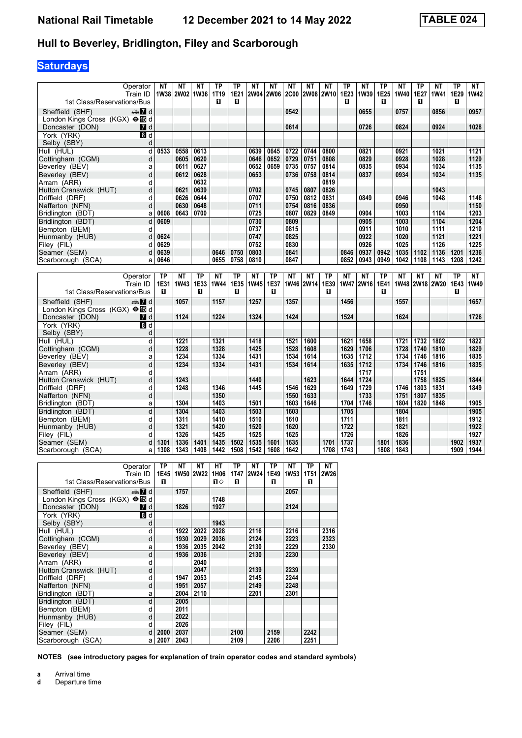## **Hull to Beverley, Bridlington, Filey and Scarborough**

# **Saturdays**

| Operator                                                              | NΤ        | NΤ             | NΤ        | <b>TP</b>    | <b>TP</b> | <b>NT</b>    | NΤ        | <b>NT</b>    | NΤ        | NΤ        | <b>TP</b>    | <b>NT</b> | TP        | ΝT           | <b>TP</b> | NΤ             | TP        | NT           |
|-----------------------------------------------------------------------|-----------|----------------|-----------|--------------|-----------|--------------|-----------|--------------|-----------|-----------|--------------|-----------|-----------|--------------|-----------|----------------|-----------|--------------|
| Train ID<br>1st Class/Reservations/Bus                                |           | 1W38 2W02 1W36 |           | 1T19<br>п    | 1E21<br>п |              | 2W04 2W06 | <b>2C00</b>  |           | 2W08 2W10 | 1E23<br>п    | 1W39      | 1E25<br>п | 1W40         | 1E27<br>п | 1W41           | 1E29<br>п | <b>1W42</b>  |
|                                                                       |           |                |           |              |           |              |           |              |           |           |              |           |           |              |           |                |           |              |
| Sheffield (SHF)<br>d ann                                              |           |                |           |              |           |              |           | 0542         |           |           |              | 0655      |           | 0757         |           | 0856           |           | 0957         |
| London Kings Cross (KGX) <b>OI</b> d<br>Doncaster (DON)<br><b>7</b> d |           |                |           |              |           |              |           | 0614         |           |           |              | 0726      |           | 0824         |           | 0924           |           | 1028         |
| York (YRK)<br>8 <sup>d</sup>                                          |           |                |           |              |           |              |           |              |           |           |              |           |           |              |           |                |           |              |
| Selby (SBY)                                                           | d         |                |           |              |           |              |           |              |           |           |              |           |           |              |           |                |           |              |
| Hull (HUL)                                                            | d<br>0533 | 0558           | 0613      |              |           | 0639         | 0645      | 0722         | 0744      | 0800      |              | 0821      |           | 0921         |           | 1021           |           | 1121         |
| Cottingham (CGM)                                                      | d         | 0605           | 0620      |              |           | 0646         | 0652      | 0729         | 0751      | 0808      |              | 0829      |           | 0928         |           | 1028           |           | 1129         |
| Beverley (BEV)                                                        | a         | 0611           | 0627      |              |           | 0652         | 0659      | 0735         | 0757      | 0814      |              | 0835      |           | 0934         |           | 1034           |           | 1135         |
| Beverley (BEV)                                                        | d         | 0612           | 0628      |              |           | 0653         |           | 0736         | 0758      | 0814      |              | 0837      |           | 0934         |           | 1034           |           | 1135         |
| Arram (ARR)                                                           | d         |                | 0632      |              |           |              |           |              |           | 0819      |              |           |           |              |           |                |           |              |
| Hutton Cranswick (HUT)                                                | d         | 0621           | 0639      |              |           | 0702         |           | 0745         | 0807      | 0826      |              |           |           |              |           | 1043           |           |              |
| Driffield (DRF)                                                       | d         | 0626           | 0644      |              |           | 0707         |           | 0750         | 0812      | 0831      |              | 0849      |           | 0946         |           | 1048           |           | 1146         |
| Nafferton (NFN)                                                       | d         | 0630           | 0648      |              |           | 0711         |           | 0754         | 0816      | 0836      |              |           |           | 0950         |           |                |           | 1150         |
| Bridlington (BDT)                                                     | 0608<br>a | 0643           | 0700      |              |           | 0725         |           | 0807         | 0829      | 0849      |              | 0904      |           | 1003         |           | 1104           |           | 1203         |
| Bridlington (BDT)                                                     | d<br>0609 |                |           |              |           | 0730         |           | 0809         |           |           |              | 0905      |           | 1003         |           | 1104           |           | 1204         |
| Bempton (BEM)                                                         | d         |                |           |              |           | 0737         |           | 0815         |           |           |              | 0911      |           | 1010         |           | 1111           |           | 1210         |
| Hunmanby (HUB)                                                        | 0624<br>d |                |           |              |           | 0747         |           | 0825         |           |           |              | 0922      |           | 1020         |           | 1121           |           | 1221         |
| Filey (FIL)                                                           | 0629<br>d |                |           |              |           | 0752         |           | 0830         |           |           |              | 0926      |           | 1025         |           | 1126           |           | 1225         |
| Seamer (SEM)                                                          | 0639<br>d |                |           | 0646         | 0750      | 0803         |           | 0841         |           |           | 0846         | 0937      | 0942      | 1035         | 1102      | 1136           | 1201      | 1236         |
| Scarborough (SCA)                                                     | 0646<br>a |                |           | 0655         | 0758      | 0810         |           | 0847         |           |           | 0852         | 0943      | 0949      | 1042         | 1108      | 1143           | 1208      | 1242         |
|                                                                       |           |                |           |              |           |              |           |              |           |           |              |           |           |              |           |                |           |              |
|                                                                       |           |                |           |              |           |              |           |              |           |           |              |           |           |              |           |                |           |              |
| Operator                                                              | <b>TP</b> | NΤ             | <b>TP</b> | <b>NT</b>    | <b>TP</b> | <b>NT</b>    | <b>TP</b> | <b>NT</b>    | NΤ        | <b>TP</b> | NΤ           | <b>NT</b> | <b>TP</b> | <b>NT</b>    | NΤ        | NΤ             | TP        | <b>NT</b>    |
| Train ID                                                              | 1E31      | <b>1W43</b>    | 1E33      | <b>1W44</b>  | 1E35      | <b>1W45</b>  | 1E37      |              | 1W46 2W14 | 1E39      |              | 1W47 2W16 | 1E41      |              |           | 1W48 2W18 2W20 | 1E43      | 1W49         |
| 1st Class/Reservations/Bus                                            | п         |                | п         |              | п         |              | п         |              |           | п         |              |           | п         |              |           |                | п         |              |
| Sheffield (SHF)<br>dan 7d                                             |           | 1057           |           | 1157         |           | 1257         |           | 1357         |           |           | 1456         |           |           | 1557         |           |                |           | 1657         |
| London Kings Cross (KGX) <b>⊖ id</b> d                                |           |                |           |              |           |              |           |              |           |           |              |           |           |              |           |                |           |              |
| Doncaster (DON)<br><b>7</b> d                                         |           | 1124           |           | 1224         |           | 1324         |           | 1424         |           |           | 1524         |           |           | 1624         |           |                |           | 1726         |
| $\overline{\mathbf{B}}$ d<br>York (YRK)                               |           |                |           |              |           |              |           |              |           |           |              |           |           |              |           |                |           |              |
| Selby (SBY)                                                           | d         |                |           |              |           |              |           |              |           |           |              |           |           |              |           |                |           |              |
| Hull (HUL)                                                            | d         | 1221           |           | 1321         |           | 1418         |           | 1521         | 1600      |           | 1621         | 1658      |           | 1721         | 1732      | 1802           |           | 1822         |
| Cottingham (CGM)                                                      | d         | 1228           |           | 1328         |           | 1425         |           | 1528         | 1608      |           | 1629         | 1706      |           | 1728         | 1740      | 1810           |           | 1829         |
| Beverley (BEV)                                                        | a         | 1234           |           | 1334         |           | 1431         |           | 1534         | 1614      |           | 1635         | 1712      |           | 1734         | 1746      | 1816           |           | 1835         |
| Beverley (BEV)                                                        | d         | 1234           |           | 1334         |           | 1431         |           | 1534         | 1614      |           | 1635         | 1712      |           | 1734         | 1746      | 1816           |           | 1835         |
| Arram (ARR)                                                           | d         |                |           |              |           |              |           |              |           |           |              | 1717      |           |              | 1751      |                |           |              |
| Hutton Cranswick (HUT)                                                | d         | 1243           |           |              |           | 1440         |           |              | 1623      |           | 1644         | 1724      |           |              | 1758      | 1825           |           | 1844         |
| Driffield (DRF)                                                       | d         | 1248           |           | 1346         |           | 1445         |           | 1546         | 1629      |           | 1649         | 1729      |           | 1746         | 1803      | 1831           |           | 1849         |
| Nafferton (NFN)                                                       | d         |                |           | 1350         |           |              |           | 1550         | 1633      |           |              | 1733      |           | 1751         | 1807      | 1835           |           |              |
| Bridlington (BDT)                                                     | a         | 1304           |           | 1403         |           | 1501         |           | 1603         | 1646      |           | 1704         | 1746      |           | 1804         | 1820      | 1848           |           | 1905         |
| Bridlington (BDT)                                                     | d<br>d    | 1304<br>1311   |           | 1403<br>1410 |           | 1503<br>1510 |           | 1603<br>1610 |           |           | 1705<br>1711 |           |           | 1804<br>1811 |           |                |           | 1905<br>1912 |
| Bempton (BEM)                                                         | d         | 1321           |           | 1420         |           | 1520         |           | 1620         |           |           | 1722         |           |           | 1821         |           |                |           | 1922         |
| Hunmanby (HUB)<br>Filey (FIL)                                         | d         | 1326           |           | 1425         |           | 1525         |           | 1625         |           |           | 1726         |           |           | 1826         |           |                |           | 1927         |
| Seamer (SEM)                                                          | d<br>1301 | 1336           | 1401      | 1435         | 1502      | 1535         | 1601      | 1635         |           | 1701      | 1737         |           | 1801      | 1836         |           |                | 1902      | 1937         |
| Scarborough (SCA)                                                     | 1308<br>a | 1343           | 1408      | 1442         | 1508      | 1542         | 1608      | 1642         |           | 1708      | 1743         |           | 1808      | 1843         |           |                | 1909      | 1944         |
|                                                                       |           |                |           |              |           |              |           |              |           |           |              |           |           |              |           |                |           |              |

| Operator<br>Train ID                    | ΤP<br>1E45 | NΤ   | NΤ<br>1W50 2W22 | HТ<br>1H06     | ΤP   | NΤ<br>1T47 2W24 | ТP<br>1E49 | NΤ<br><b>1W53</b> | ΤP<br><b>1T51</b> | NΤ<br><b>2W26</b> |
|-----------------------------------------|------------|------|-----------------|----------------|------|-----------------|------------|-------------------|-------------------|-------------------|
| 1st Class/Reservations/Bus              | п          |      |                 | $\blacksquare$ | п    |                 | п          |                   | п                 |                   |
| Sheffield (SHF)<br>$\oplus$ 7 d         |            | 1757 |                 |                |      |                 |            | 2057              |                   |                   |
| London Kings Cross (KGX) <b>⊖ led</b> d |            |      |                 | 1748           |      |                 |            |                   |                   |                   |
| Doncaster (DON)<br><b>7</b> d           |            | 1826 |                 | 1927           |      |                 |            | 2124              |                   |                   |
| York (YRK)<br>8d                        |            |      |                 |                |      |                 |            |                   |                   |                   |
| Selby (SBY)<br>d                        |            |      |                 | 1943           |      |                 |            |                   |                   |                   |
| Hull (HUL)<br>d                         |            | 1922 | 2022            | 2028           |      | 2116            |            | 2216              |                   | 2316              |
|                                         |            |      |                 |                |      |                 |            |                   |                   |                   |
| Cottingham (CGM)<br>d                   |            | 1930 | 2029            | 2036           |      | 2124            |            | 2223              |                   | 2323              |
| Beverley (BEV)                          | a          | 1936 | 2035            | 2042           |      | 2130            |            | 2229              |                   | 2330              |
| Beverley (BEV)<br>d                     |            | 1936 | 2036            |                |      | 2130            |            | 2230              |                   |                   |
| Arram (ARR)<br>d                        |            |      | 2040            |                |      |                 |            |                   |                   |                   |
| Hutton Cranswick (HUT)<br>d             |            |      | 2047            |                |      | 2139            |            | 2239              |                   |                   |
| Driffield (DRF)<br>d                    |            | 1947 | 2053            |                |      | 2145            |            | 2244              |                   |                   |
| Nafferton (NFN)<br>d                    |            | 1951 | 2057            |                |      | 2149            |            | 2248              |                   |                   |
| Bridlington (BDT)                       | a          | 2004 | 2110            |                |      | 2201            |            | 2301              |                   |                   |
| Bridlington (BDT)<br>d                  |            | 2005 |                 |                |      |                 |            |                   |                   |                   |
| Bempton (BEM)<br>d                      |            | 2011 |                 |                |      |                 |            |                   |                   |                   |
| d<br>Hunmanby (HUB)                     |            | 2022 |                 |                |      |                 |            |                   |                   |                   |
| Filey (FIL)<br>d                        |            | 2026 |                 |                |      |                 |            |                   |                   |                   |
| Seamer (SEM)<br>d                       | 2000       | 2037 |                 |                | 2100 |                 | 2159       |                   | 2242              |                   |
| Scarborough (SCA)                       | 2007<br>a  | 2043 |                 |                | 2109 |                 | 2206       |                   | 2251              |                   |

**NOTES (see introductory pages for explanation of train operator codes and standard symbols)**

**a** Arrival time<br>**d** Departure t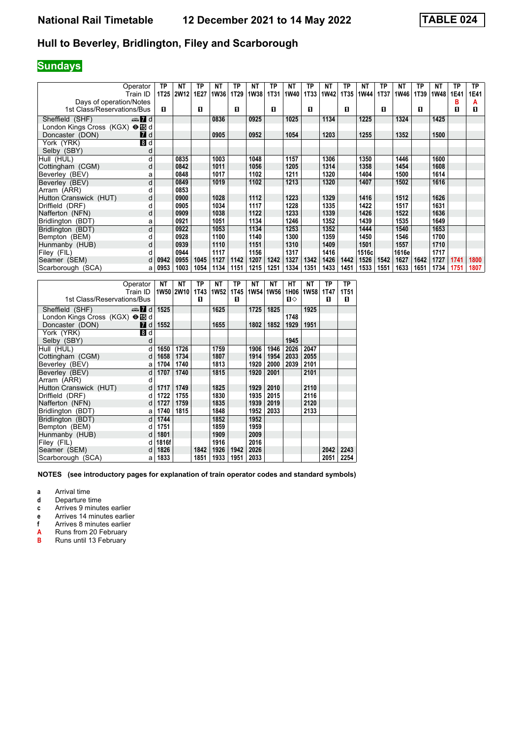### **Hull to Beverley, Bridlington, Filey and Scarborough**

### **Sundays**

| Operator                        | ТP               | <b>NT</b> | ТP   | <b>NT</b> | <b>TP</b> | <b>NT</b> | TP          | <b>NT</b> | <b>TP</b> | <b>NT</b>   | <b>TP</b> | <b>NT</b> | <b>TP</b> | <b>NT</b> | TP          | <b>NT</b> | ТP          | TP.  |
|---------------------------------|------------------|-----------|------|-----------|-----------|-----------|-------------|-----------|-----------|-------------|-----------|-----------|-----------|-----------|-------------|-----------|-------------|------|
| Train ID                        | 1T <sub>25</sub> | 2W12      | 1E27 | 1W36      | 1T29      | 1W38      | <b>1T31</b> | 1W40      | 1T33      | <b>1W42</b> | 1T35      | 1W44      | 1T37      | 1W46      | <b>1T39</b> | 1W48      | <b>1E41</b> | 1E41 |
| Days of operation/Notes         |                  |           |      |           |           |           |             |           |           |             |           |           |           |           |             |           | В           | А    |
| 1st Class/Reservations/Bus      | п                |           | п    |           | п         |           | п           |           | п         |             | П         |           | п         |           | п           |           | 0           | п    |
|                                 |                  |           |      |           |           |           |             |           |           |             |           |           |           |           |             |           |             |      |
| Sheffield (SHF)<br>$\oplus$ 7 d |                  |           |      | 0836      |           | 0925      |             | 1025      |           | 1134        |           | 1225      |           | 1324      |             | 1425      |             |      |
|                                 |                  |           |      |           |           |           |             |           |           |             |           |           |           |           |             |           |             |      |
| Doncaster (DON)<br>7 d          |                  |           |      | 0905      |           | 0952      |             | 1054      |           | 1203        |           | 1255      |           | 1352      |             | 1500      |             |      |
| 8d<br>York (YRK)                |                  |           |      |           |           |           |             |           |           |             |           |           |           |           |             |           |             |      |
| Selby (SBY)<br>d                |                  |           |      |           |           |           |             |           |           |             |           |           |           |           |             |           |             |      |
| Hull (HUL)<br>d                 |                  | 0835      |      | 1003      |           | 1048      |             | 1157      |           | 1306        |           | 1350      |           | 1446      |             | 1600      |             |      |
| Cottingham (CGM)<br>d           |                  | 0842      |      | 1011      |           | 1056      |             | 1205      |           | 1314        |           | 1358      |           | 1454      |             | 1608      |             |      |
| Beverley (BEV)<br>a             |                  | 0848      |      | 1017      |           | 1102      |             | 1211      |           | 1320        |           | 1404      |           | 1500      |             | 1614      |             |      |
| d<br>Beverley (BEV)             |                  | 0849      |      | 1019      |           | 1102      |             | 1213      |           | 1320        |           | 1407      |           | 1502      |             | 1616      |             |      |
| Arram (ARR)<br>d                |                  | 0853      |      |           |           |           |             |           |           |             |           |           |           |           |             |           |             |      |
| Hutton Cranswick (HUT)<br>d     |                  | 0900      |      | 1028      |           | 1112      |             | 1223      |           | 1329        |           | 1416      |           | 1512      |             | 1626      |             |      |
| Driffield (DRF)<br>d            |                  | 0905      |      | 1034      |           | 1117      |             | 1228      |           | 1335        |           | 1422      |           | 1517      |             | 1631      |             |      |
| Nafferton (NFN)<br>d            |                  | 0909      |      | 1038      |           | 1122      |             | 1233      |           | 1339        |           | 1426      |           | 1522      |             | 1636      |             |      |
| Bridlington (BDT)<br>а          |                  | 0921      |      | 1051      |           | 1134      |             | 1246      |           | 1352        |           | 1439      |           | 1535      |             | 1649      |             |      |
| d<br>Bridlington (BDT)          |                  | 0922      |      | 1053      |           | 1134      |             | 1253      |           | 1352        |           | 1444      |           | 1540      |             | 1653      |             |      |
| Bempton (BEM)<br>d              |                  | 0928      |      | 1100      |           | 1140      |             | 1300      |           | 1359        |           | 1450      |           | 1546      |             | 1700      |             |      |
| Hunmanby (HUB)<br>d             |                  | 0939      |      | 1110      |           | 1151      |             | 1310      |           | 1409        |           | 1501      |           | 1557      |             | 1710      |             |      |
| Filey (FIL)                     |                  | 0944      |      | 1117      |           | 1156      |             | 1317      |           | 1416        |           | 1516c     |           | 1616e     |             | 1717      |             |      |
| Seamer (SEM)<br>d               | 0942             | 0955      | 1045 | 1127      | 1142      | 1207      | 1242        | 1327      | 1342      | 1426        | 1442      | 1526      | 1542      | 1627      | 1642        | 1727      | 1741        | 1800 |
| Scarborough (SCA)<br>a          | 0953             | 1003      | 1054 | 1134      | 1151      | 1215      | 1251        | 1334      | 1351      | 1433        | 1451      | 1533      | 1551      | 1633      | 1651        | 1734      | 1751        | 1807 |

| Operator                        |                  | NΤ       | NΤ        | ТP   | NΤ   | ТP   | NΤ                 | NΤ   | HТ   | NΤ          | ΤP   | ТP          |
|---------------------------------|------------------|----------|-----------|------|------|------|--------------------|------|------|-------------|------|-------------|
|                                 | Train ID         |          | 1W50 2W10 | 1T43 | 1W52 |      | 1T45   1W54   1W56 |      | 1H06 | <b>1W58</b> | 1T47 | <b>1T51</b> |
| 1st Class/Reservations/Bus      |                  |          |           | п    |      | п    |                    |      | п⇔   |             | п    | п           |
| Sheffield (SHF)                 | $\mathbf{Z}$ d   | 1525     |           |      | 1625 |      | 1725               | 1825 |      | 1925        |      |             |
| London Kings Cross (KGX) → Id d |                  |          |           |      |      |      |                    |      | 1748 |             |      |             |
| Doncaster (DON)                 | $\blacksquare$ d | 1552     |           |      | 1655 |      | 1802               | 1852 | 1929 | 1951        |      |             |
| York (YRK)                      | 8 d              |          |           |      |      |      |                    |      |      |             |      |             |
| Selby (SBY)                     | d                |          |           |      |      |      |                    |      | 1945 |             |      |             |
| Hull (HUL)                      | d                | 1650     | 1726      |      | 1759 |      | 1906               | 1946 | 2026 | 2047        |      |             |
| Cottingham (CGM)                | d                | 1658     | 1734      |      | 1807 |      | 1914               | 1954 | 2033 | 2055        |      |             |
| Beverley (BEV)                  | a                | 1704     | 1740      |      | 1813 |      | 1920               | 2000 | 2039 | 2101        |      |             |
| Beverley (BEV)                  | d                | 1707     | 1740      |      | 1815 |      | 1920               | 2001 |      | 2101        |      |             |
| Arram (ARR)                     | d                |          |           |      |      |      |                    |      |      |             |      |             |
| Hutton Cranswick (HUT)          | d                | 1717     | 1749      |      | 1825 |      | 1929               | 2010 |      | 2110        |      |             |
| Driffield (DRF)                 | d                | 1722     | 1755      |      | 1830 |      | 1935               | 2015 |      | 2116        |      |             |
| Nafferton (NFN)                 | d                | 1727     | 1759      |      | 1835 |      | 1939               | 2019 |      | 2120        |      |             |
| Bridlington (BDT)               | a                | 1740     | 1815      |      | 1848 |      | 1952               | 2033 |      | 2133        |      |             |
| Bridlington (BDT)               | d                | 1744     |           |      | 1852 |      | 1952               |      |      |             |      |             |
| Bempton (BEM)                   | d                | 1751     |           |      | 1859 |      | 1959               |      |      |             |      |             |
| Hunmanby (HUB)                  | d                | 1801     |           |      | 1909 |      | 2009               |      |      |             |      |             |
| Filey (FIL)                     | d                | 1816f    |           |      | 1916 |      | 2016               |      |      |             |      |             |
| Seamer (SEM)                    | d                | 1826     |           | 1842 | 1926 | 1942 | 2026               |      |      |             | 2042 | 2243        |
| Scarborough (SCA)               |                  | a   1833 |           | 1851 | 1933 | 1951 | 2033               |      |      |             | 2051 | 2254        |

**NOTES (see introductory pages for explanation of train operator codes and standard symbols)**

**a** Arrival time

**d** Departure time

**c** Arrives 9 minutes earlier<br>**e** Arrives 14 minutes earlie

**e** Arrives 14 minutes earlier<br>**f** Arrives 8 minutes earlier

**f** Arrives 8 minutes earlier<br> **A** Runs from 20 February<br> **B** Runs until 13 February

**A** Runs from 20 February **B** Runs until 13 February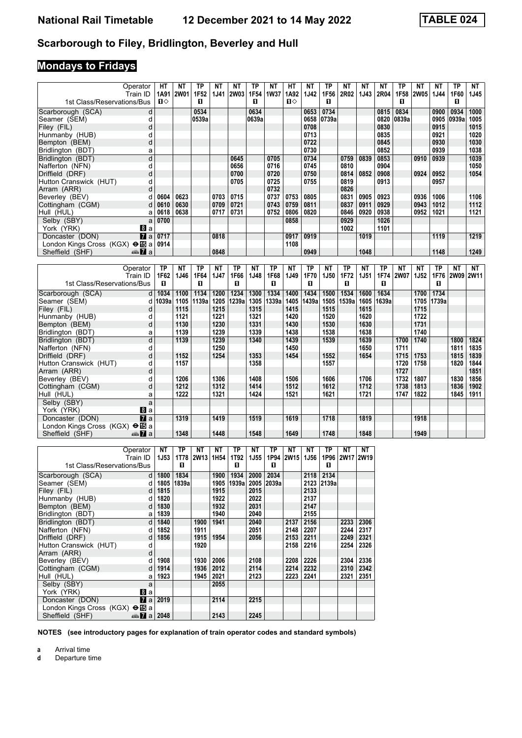### **Scarborough to Filey, Bridlington, Beverley and Hull**

# **Mondays to Fridays**

| Operator<br>Train ID                   | HT<br>1A91   | <b>NT</b><br><b>2W01</b> | <b>TP</b><br>1F52 | <b>NT</b><br><b>1J41</b> | <b>NT</b><br><b>2W03</b> | <b>TP</b><br>1F54 | <b>NT</b><br><b>1W37</b> | <b>HT</b><br>1A92 | <b>NT</b><br>1J42 | <b>TP</b><br>1F56 | <b>NT</b><br>2R02 | NΤ<br>1J43 | <b>NT</b><br>2R04 | TP<br>1F58  | <b>NT</b><br><b>2W05</b> | NΤ<br>1J44  | <b>TP</b><br>1F60 | <b>NT</b><br>1J45 |
|----------------------------------------|--------------|--------------------------|-------------------|--------------------------|--------------------------|-------------------|--------------------------|-------------------|-------------------|-------------------|-------------------|------------|-------------------|-------------|--------------------------|-------------|-------------------|-------------------|
| 1st Class/Reservations/Bus             | $\mathbf{u}$ |                          | п                 |                          |                          | п                 |                          | $\mathbf{u}$      |                   | П                 |                   |            |                   | п           |                          |             | п                 |                   |
| Scarborough (SCA)<br>d                 |              |                          | 0534              |                          |                          | 0634              |                          |                   | 0653              | 0734              |                   |            | 0815              | 0834        |                          | 0900        | 0934              | 1000              |
| Seamer (SEM)<br>d                      |              |                          | 0539a             |                          |                          | 0639a             |                          |                   | 0658              | 0739a             |                   |            | 0820              | 0839a       |                          | 0905        | 0939a             | 1005              |
| Filev (FIL)<br>d                       |              |                          |                   |                          |                          |                   |                          |                   | 0708              |                   |                   |            | 0830              |             |                          | 0915        |                   | 1015              |
| Hunmanby (HUB)<br>d                    |              |                          |                   |                          |                          |                   |                          |                   | 0713              |                   |                   |            | 0835              |             |                          | 0921        |                   | 1020              |
| d<br>Bempton (BEM)                     |              |                          |                   |                          |                          |                   |                          |                   | 0722              |                   |                   |            | 0845              |             |                          | 0930        |                   | 1030              |
| Bridlington (BDT)<br>a                 |              |                          |                   |                          |                          |                   |                          |                   | 0730              |                   |                   |            | 0852              |             |                          | 0939        |                   | 1038              |
| d<br>Bridlington (BDT)                 |              |                          |                   |                          | 0645                     |                   | 0705                     |                   | 0734              |                   | 0759              | 0839       | 0853              |             | 0910                     | 0939        |                   | 1039              |
| Nafferton (NFN)<br>d                   |              |                          |                   |                          | 0656                     |                   | 0716                     |                   | 0745              |                   | 0810              |            | 0904              |             |                          |             |                   | 1050              |
| Driffield (DRF)<br>d                   |              |                          |                   |                          | 0700                     |                   | 0720                     |                   | 0750              |                   | 0814              | 0852       | 0908              |             | 0924                     | 0952        |                   | 1054              |
| Hutton Cranswick (HUT)<br>d            |              |                          |                   |                          | 0705                     |                   | 0725                     |                   | 0755              |                   | 0819              |            | 0913              |             |                          | 0957        |                   |                   |
| Arram (ARR)<br>d                       |              |                          |                   |                          |                          |                   | 0732                     |                   |                   |                   | 0826              |            |                   |             |                          |             |                   |                   |
| Beverley (BEV)<br>d                    | 0604         | 0623                     |                   | 0703                     | 0715                     |                   | 0737                     | 0753              | 0805              |                   | 0831              | 0905       | 0923              |             | 0936                     | 1006        |                   | 1106              |
| Cottingham (CGM)<br>d                  | 0610         | 0630                     |                   | 0709                     | 0721                     |                   | 0743                     | 0759              | 0811              |                   | 0837              | 0911       | 0929              |             | 0943                     | 1012        |                   | 1112              |
| Hull (HUL)<br>a                        | 0618         | 0638                     |                   | 0717                     | 0731                     |                   | 0752                     | 0806              | 0820              |                   | 0846              | 0920       | 0938              |             | 0952                     | 1021        |                   | 1121              |
| Selby (SBY)<br>a                       | 0700         |                          |                   |                          |                          |                   |                          | 0858              |                   |                   | 0929              |            | 1026              |             |                          |             |                   |                   |
| York (YRK)<br>Bla                      |              |                          |                   |                          |                          |                   |                          |                   |                   |                   | 1002              |            | 1101              |             |                          |             |                   |                   |
| $\overline{a}$<br>Doncaster (DON)      | 0717         |                          |                   | 0818                     |                          |                   |                          | 0917              | 0919              |                   |                   | 1019       |                   |             |                          | 1119        |                   | 1219              |
| London Kings Cross (KGX) <b>⊖ IB</b> a | 0914         |                          |                   |                          |                          |                   |                          | 1108              |                   |                   |                   |            |                   |             |                          |             |                   |                   |
| Sheffield (SHF)<br>dan <b>7</b> a      |              |                          |                   | 0848                     |                          |                   |                          |                   | 0949              |                   |                   | 1048       |                   |             |                          | 1148        |                   | 1249              |
|                                        |              |                          |                   |                          |                          |                   |                          |                   |                   |                   |                   |            |                   |             |                          |             |                   |                   |
| Operator                               | <b>TP</b>    | <b>NT</b>                | <b>TP</b>         | <b>NT</b>                | <b>TP</b>                | <b>NT</b>         | <b>TP</b>                | <b>NT</b>         | <b>TP</b>         | <b>NT</b>         | <b>TP</b>         | <b>NT</b>  | <b>TP</b>         | <b>NT</b>   | <b>NT</b>                | <b>TP</b>   | <b>NT</b>         | <b>NT</b>         |
| Train ID                               | 1F62         | 1J46                     | 1F64              | <b>1J47</b>              | 1F66                     | 1J48              | 1F68                     | 1J49              | <b>1F70</b>       | 1J50              | <b>1F72</b>       | 1J51       | <b>1F74</b>       | <b>2W07</b> | <b>1J52</b>              | <b>1F76</b> | <b>2W09</b>       | <b>2W11</b>       |
| 1st Class/Reservations/Bus             | п            |                          | п                 |                          | п                        |                   | $\mathbf{u}$             |                   | п                 |                   | п                 |            | п                 |             |                          | п           |                   |                   |
| Scarborough (SCA)<br>$d \mid$          | 1034         | 1100                     | 1134              | 1200                     | 1234                     | 1300              | 1334                     | 1400              | 1434              | 1500              | 1534              | 1600       | 1634              |             | 1700                     | 1734        |                   |                   |
| Seamer (SEM)<br>d                      | 1039a        | 1105                     | 1139a             | 1205                     | 1239a                    | 1305              | 1339a                    | 1405              | 1439a             | 1505              | 1539a             | 1605       | 1639a             |             | 1705                     | 1739a       |                   |                   |
| Filey (FIL)<br>d                       |              | 1115                     |                   | 1215                     |                          | 1315              |                          | 1415              |                   | 1515              |                   | 1615       |                   |             | 1715                     |             |                   |                   |
| Hunmanby (HUB)<br>d                    |              | 1121                     |                   | 1221                     |                          | 1321              |                          | 1420              |                   | 1520              |                   | 1620       |                   |             | 1722                     |             |                   |                   |
| d<br>Bempton (BEM)                     |              | 1130                     |                   | 1230                     |                          | 1331              |                          | 1430              |                   | 1530              |                   | 1630       |                   |             | 1731                     |             |                   |                   |
| Bridlington (BDT)<br>a                 |              | 1139                     |                   | 1239                     |                          | 1339              |                          | 1438              |                   | 1538              |                   | 1638       |                   |             | 1740                     |             |                   |                   |
| Bridlington (BDT)<br>d                 |              | 1139                     |                   | 1239                     |                          | 1340              |                          | 1439              |                   | 1539              |                   | 1639       |                   | 1700        | 1740                     |             | 1800              | 1824              |
| Nafferton (NFN)<br>d                   |              |                          |                   | 1250                     |                          |                   |                          | 1450              |                   |                   |                   | 1650       |                   | 1711        |                          |             | 1811              | 1835              |
| Driffield (DRF)<br>d                   |              | 1152                     |                   | 1254                     |                          | 1353              |                          | 1454              |                   | 1552              |                   | 1654       |                   | 1715        | 1753                     |             | 1815              | 1839              |

| Bridlington (BDT)                                 | dl | 1139 | 1239 | 1340 | 1439 | 1539 | 1639 | 1700 | 1740 | 1800 | 1824 |
|---------------------------------------------------|----|------|------|------|------|------|------|------|------|------|------|
| Nafferton (NFN)                                   |    |      | 1250 |      | 1450 |      | 1650 | 1711 |      | 1811 | 1835 |
| Driffield (DRF)                                   | α  | 1152 | 1254 | 1353 | 1454 | 1552 | 1654 | 1715 | 1753 | 1815 | 1839 |
| Hutton Cranswick (HUT)                            |    | 1157 |      | 1358 |      | 1557 |      | 1720 | 1758 | 1820 | 1844 |
| Arram (ARR)                                       | d  |      |      |      |      |      |      | 1727 |      |      | 1851 |
| Beverley (BEV)                                    |    | 1206 | 1306 | 1408 | 1506 | 1606 | 1706 | 1732 | 1807 | 1830 | 1856 |
| Cottingham (CGM)                                  | d  | 1212 | 1312 | 1414 | 1512 | 1612 | 1712 | 1738 | 1813 | 1836 | 1902 |
| Hull (HUL)                                        | а  | 1222 | 1321 | 1424 | 1521 | 1621 | 1721 | 1747 | 1822 | 1845 | 1911 |
| Selby (SBY)                                       | a  |      |      |      |      |      |      |      |      |      |      |
| 8 a<br>York (YRK)                                 |    |      |      |      |      |      |      |      |      |      |      |
| $\mathbf{Z}$ al<br>Doncaster (DON)                |    | 1319 | 1419 | 1519 | 1619 | 1718 | 1819 |      | 1918 |      |      |
| London Kings Cross (KGX) $\Theta$ $\mathbb{E}[a]$ |    |      |      |      |      |      |      |      |      |      |      |
| da <mark>7</mark> al<br>Sheffield (SHF)           |    | 1348 | 1448 | 1548 | 1649 | 1748 | 1848 |      | 1949 |      |      |

| Operator                                |                | NΤ   | TP    | ΝT          | NΤ               | ТP    | NΤ          | ТP    | NΤ          | NΤ          | ΤP    | NΤ   | NΤ        |
|-----------------------------------------|----------------|------|-------|-------------|------------------|-------|-------------|-------|-------------|-------------|-------|------|-----------|
| Train ID                                |                | 1J53 | 1T78  | <b>2W13</b> | 1H <sub>54</sub> | 1T92  | <b>1J55</b> | 1P94  | <b>2W15</b> | <b>1J56</b> | 1P96  |      | 2W17 2W19 |
| 1st Class/Reservations/Bus              |                |      | п     |             |                  | П     |             | п     |             |             | П     |      |           |
| Scarborough (SCA)                       | d              | 1800 | 1834  |             | 1900             | 1934  | 2000        | 2034  |             | 2118        | 2134  |      |           |
| Seamer (SEM)                            | d              | 1805 | 1839a |             | 1905             | 1939a | 2005        | 2039a |             | 2123        | 2139a |      |           |
| Filey (FIL)                             | d              | 1815 |       |             | 1915             |       | 2015        |       |             | 2133        |       |      |           |
| Hunmanby (HUB)                          | d              | 1820 |       |             | 1922             |       | 2022        |       |             | 2137        |       |      |           |
| Bempton (BEM)                           | d              | 1830 |       |             | 1932             |       | 2031        |       |             | 2147        |       |      |           |
| Bridlington (BDT)                       | a              | 1839 |       |             | 1940             |       | 2040        |       |             | 2155        |       |      |           |
| Bridlington (BDT)                       | d              | 1840 |       | 1900        | 1941             |       | 2040        |       | 2137        | 2156        |       | 2233 | 2306      |
| Nafferton (NFN)                         | d              | 1852 |       | 1911        |                  |       | 2051        |       | 2148        | 2207        |       | 2244 | 2317      |
| Driffield (DRF)                         | d              | 1856 |       | 1915        | 1954             |       | 2056        |       | 2153        | 2211        |       | 2249 | 2321      |
| Hutton Cranswick (HUT)                  | d              |      |       | 1920        |                  |       |             |       | 2158        | 2216        |       | 2254 | 2326      |
| Arram (ARR)                             | d              |      |       |             |                  |       |             |       |             |             |       |      |           |
| Beverley (BEV)                          | d              | 1908 |       | 1930        | 2006             |       | 2108        |       | 2208        | 2226        |       | 2304 | 2336      |
| Cottingham (CGM)                        | d              | 1914 |       | 1936        | 2012             |       | 2114        |       | 2214        | 2232        |       | 2310 | 2342      |
| Hull (HUL)                              | a              | 1923 |       | 1945        | 2021             |       | 2123        |       | 2223        | 2241        |       | 2321 | 2351      |
| Selby (SBY)                             | a              |      |       |             | 2055             |       |             |       |             |             |       |      |           |
| York (YRK)                              | 8a             |      |       |             |                  |       |             |       |             |             |       |      |           |
| Doncaster (DON)                         | $\mathbf{z}$ a | 2019 |       |             | 2114             |       | 2215        |       |             |             |       |      |           |
| London Kings Cross (KGX) $\bigoplus$ a  |                |      |       |             |                  |       |             |       |             |             |       |      |           |
| Sheffield (SHF)<br>dan <mark>7</mark> a |                | 2048 |       |             | 2143             |       | 2245        |       |             |             |       |      |           |

**NOTES (see introductory pages for explanation of train operator codes and standard symbols)**

**a** Arrival time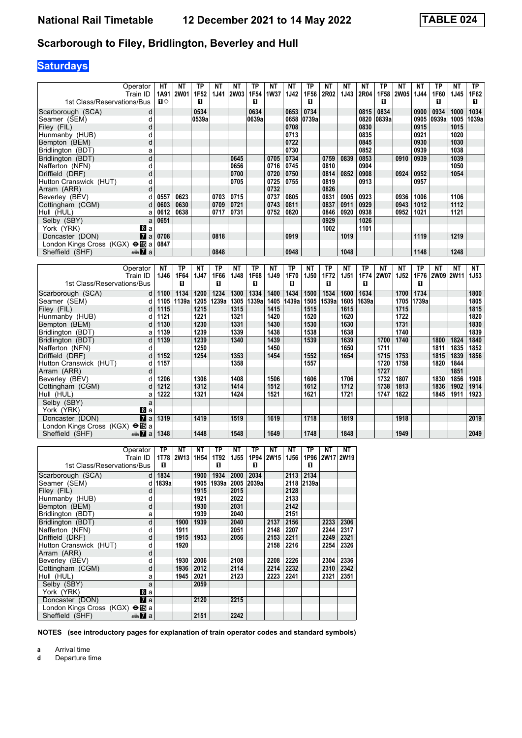### **Scarborough to Filey, Bridlington, Beverley and Hull**

# **Saturdays**

| Operator                               | HТ   | NΤ          | ΤP               | NΤ          | ΝT             | <b>TP</b>   | NΤ   | NΤ        | ТP         | <b>NT</b> | NT        | <b>NT</b>           | TP        | ΝT                          | <b>NT</b>   | TP                         | NΤ        | <b>TP</b>    |
|----------------------------------------|------|-------------|------------------|-------------|----------------|-------------|------|-----------|------------|-----------|-----------|---------------------|-----------|-----------------------------|-------------|----------------------------|-----------|--------------|
| Train ID                               | 1A91 | 2W01        | 1F <sub>52</sub> | <b>1J41</b> | 2W03           | 1F54        | 1W37 | 1J42      | 1F56       | 2R02      | 1J43      | <b>2R04</b>         | 1F58      | 2W05                        | <b>1J44</b> | 1F60                       | 1J45      | 1F62         |
| 1st Class/Reservations/Bus             | п⇔   |             | П                |             |                | п           |      |           | п          |           |           |                     | п         |                             |             | п                          |           | п            |
| Scarborough (SCA)<br>d                 |      |             | 0534             |             |                | 0634        |      | 0653      | 0734       |           |           | 0815                | 0834      |                             | 0900        | 0934                       | 1000      | 1034         |
| Seamer (SEM)                           |      |             | 0539a            |             |                | 0639a       |      |           | 0658 0739a |           |           | 0820                | 0839a     |                             | 0905        | 0939a                      | 1005      | 1039a        |
| Filey (FIL)<br>d                       |      |             |                  |             |                |             |      | 0708      |            |           |           | 0830                |           |                             | 0915        |                            | 1015      |              |
| Hunmanby (HUB)                         |      |             |                  |             |                |             |      | 0713      |            |           |           | 0835                |           |                             | 0921        |                            | 1020      |              |
| Bempton (BEM)<br>d                     |      |             |                  |             |                |             |      | 0722      |            |           |           | 0845                |           |                             | 0930        |                            | 1030      |              |
| Bridlington (BDT)<br>а                 |      |             |                  |             |                |             |      | 0730      |            |           |           | 0852                |           |                             | 0939        |                            | 1038      |              |
| d<br>Bridlington (BDT)                 |      |             |                  |             | 0645           |             | 0705 | 0734      |            | 0759      | 0839      | 0853                |           | 0910                        | 0939        |                            | 1039      |              |
| Nafferton (NFN)<br>d                   |      |             |                  |             | 0656           |             | 0716 | 0745      |            | 0810      |           | 0904                |           |                             |             |                            | 1050      |              |
| Driffield (DRF)<br>d                   |      |             |                  |             | 0700           |             | 0720 | 0750      |            | 0814      | 0852      | 0908                |           | 0924                        | 0952        |                            | 1054      |              |
| Hutton Cranswick (HUT)                 |      |             |                  |             | 0705           |             | 0725 | 0755      |            | 0819      |           | 0913                |           |                             | 0957        |                            |           |              |
| Arram (ARR)<br>d                       |      |             |                  |             |                |             | 0732 |           |            | 0826      |           |                     |           |                             |             |                            |           |              |
| Beverley (BEV)                         | 0557 | 0623        |                  | 0703        | 0715           |             | 0737 | 0805      |            | 0831      | 0905      | 0923                |           | 0936                        | 1006        |                            | 1106      |              |
| Cottingham (CGM)                       | 0603 | 0630        |                  | 0709        | 0721           |             | 0743 | 0811      |            | 0837      | 0911      | 0929                |           | 0943                        | 1012        |                            | 1112      |              |
| Hull (HUL)                             | 0612 | 0638        |                  | 0717        | 0731           |             | 0752 | 0820      |            | 0846      | 0920      | 0938                |           | 0952                        | 1021        |                            | 1121      |              |
| Selby (SBY)                            | 0651 |             |                  |             |                |             |      |           |            | 0929      |           | 1026                |           |                             |             |                            |           |              |
| 8a<br>York (YRK)                       |      |             |                  |             |                |             |      |           |            | 1002      |           | 1101                |           |                             |             |                            |           |              |
| $\overline{a}$<br>Doncaster (DON)      | 0708 |             |                  | 0818        |                |             |      | 0919      |            |           | 1019      |                     |           |                             | 1119        |                            | 1219      |              |
| London Kings Cross (KGX) <b>⊖ iD</b> a | 0847 |             |                  |             |                |             |      |           |            |           |           |                     |           |                             |             |                            |           |              |
| Sheffield (SHF)<br>⊯Ma                 |      |             |                  | 0848        |                |             |      | 0948      |            |           | 1048      |                     |           |                             | 1148        |                            | 1248      |              |
|                                        |      |             |                  |             |                |             |      |           |            |           |           |                     |           |                             |             |                            |           |              |
| Operator                               | NT   | TP          | NΤ               | <b>TP</b>   | NΤ             | <b>TP</b>   | NΤ   | <b>TP</b> | ΝT         | <b>TP</b> | <b>NT</b> | ТP                  | <b>NT</b> | ΝT                          | TP          | <b>NT</b>                  | <b>NT</b> | <b>NT</b>    |
| $TrainID$ $1116$                       |      | <b>ACCA</b> | 4147             | <b>AECC</b> | <b>4 140  </b> | <b>AECO</b> | 4140 | 4 E 7 A I | $4$ IEQ    |           |           | $4E72$ $4E4$ $4E74$ |           | $N$ $N$ $-7$ $-1$ $-1$ $-1$ |             | $4E7E$   $2MAOO$   $2M14A$ |           | <b>4 IE2</b> |

| Operator<br>Train ID                   | IV L<br>1J46 | ΙГ.<br>1F64 | IV I<br>1J47 | . н<br>1F66 | IV L<br>1J48 | ΙГ.<br>1F68 | IV L<br>1J49 | <u>ыс</u><br>1F70 | 14 L<br><b>1J50</b> | <u>ыс</u><br>1F72 | IV L<br><b>1J51</b> | . г<br>1F74 | 14 L<br><b>2W07</b> | 14 L<br>1J52 | IΓ<br>1F76 | IV L<br>2W0912W11 | IV L | 14 L<br>1J53 |
|----------------------------------------|--------------|-------------|--------------|-------------|--------------|-------------|--------------|-------------------|---------------------|-------------------|---------------------|-------------|---------------------|--------------|------------|-------------------|------|--------------|
| 1st Class/Reservations/Bus             |              | п           |              | п           |              | п           |              | п                 |                     | п                 |                     | п           |                     |              | п          |                   |      |              |
| Scarborough (SCA)<br>d                 | 1100         | 1134        | 1200         | 1234        | 1300         | 1334        | 1400         | 1434              | 1500                | 1534              | 1600                | 1634        |                     | 1700         | 1734       |                   |      | 1800         |
| Seamer (SEM)<br>d l                    | 1105         | 1139a       | 1205         | 1239a       | 1305         | 1339a       | 1405         | 1439a             | 1505                | 1539a             | 1605                | 1639a       |                     | 1705         | 1739a      |                   |      | 1805         |
| Filey (FIL)<br>d l                     | 1115         |             | 1215         |             | 1315         |             | 1415         |                   | 1515                |                   | 1615                |             |                     | 1715         |            |                   |      | 1815         |
| Hunmanby (HUB)                         | 1121         |             | 1221         |             | 1321         |             | 1420         |                   | 1520                |                   | 1620                |             |                     | 1722         |            |                   |      | 1820         |
| Bempton (BEM)<br>d                     | 1130         |             | 1230         |             | 1331         |             | 1430         |                   | 1530                |                   | 1630                |             |                     | 1731         |            |                   |      | 1830         |
| Bridlington (BDT)                      | 1139         |             | 1239         |             | 1339         |             | 1438         |                   | 1538                |                   | 1638                |             |                     | 1740         |            |                   |      | 1839         |
| Bridlington (BDT)<br>d                 | 1139         |             | 1239         |             | 1340         |             | 1439         |                   | 1539                |                   | 1639                |             | 1700                | 1740         |            | 1800              | 1824 | 1840         |
| Nafferton (NFN)                        |              |             | 1250         |             |              |             | 1450         |                   |                     |                   | 1650                |             | 1711                |              |            | 1811              | 1835 | 1852         |
| Driffield (DRF)<br>d                   | 1152         |             | 1254         |             | 1353         |             | 1454         |                   | 1552                |                   | 1654                |             | 1715                | 1753         |            | 1815              | 1839 | 1856         |
| Hutton Cranswick (HUT)<br>d            | 1157         |             |              |             | 1358         |             |              |                   | 1557                |                   |                     |             | 1720                | 1758         |            | 1820              | 1844 |              |
| Arram (ARR)<br>d                       |              |             |              |             |              |             |              |                   |                     |                   |                     |             | 1727                |              |            |                   | 1851 |              |
| Beverley (BEV)<br>d                    | 1206         |             | 1306         |             | 1408         |             | 1506         |                   | 1606                |                   | 1706                |             | 1732                | 1807         |            | 1830              | 1856 | 1908         |
| Cottingham (CGM)<br>d                  | 1212         |             | 1312         |             | 1414         |             | 1512         |                   | 1612                |                   | 1712                |             | 1738                | 1813         |            | 1836              | 1902 | 1914         |
| Hull (HUL)                             | 1222         |             | 1321         |             | 1424         |             | 1521         |                   | 1621                |                   | 1721                |             | 1747                | 1822         |            | 1845              | 1911 | 1923         |
| Selby (SBY)<br>a                       |              |             |              |             |              |             |              |                   |                     |                   |                     |             |                     |              |            |                   |      |              |
| York (YRK)<br>8 a                      |              |             |              |             |              |             |              |                   |                     |                   |                     |             |                     |              |            |                   |      |              |
| $\mathbf{z}$ a<br>Doncaster (DON)      | 1319         |             | 1419         |             | 1519         |             | 1619         |                   | 1718                |                   | 1819                |             |                     | 1918         |            |                   |      | 2019         |
| London Kings Cross (KGX) $\bigoplus$ a |              |             |              |             |              |             |              |                   |                     |                   |                     |             |                     |              |            |                   |      |              |
| Sheffield (SHF)<br>$\frac{1}{2}$ a     | 1348         |             | 1448         |             | 1548         |             | 1649         |                   | 1748                |                   | 1848                |             |                     | 1949         |            |                   |      | 2049         |

|                                               | Operator              | ΤP    | NΤ        | NΤ               | ТP     | NΤ   | ТP    | NΤ   | NΤ   | ТP         | NΤ        | NΤ   |
|-----------------------------------------------|-----------------------|-------|-----------|------------------|--------|------|-------|------|------|------------|-----------|------|
|                                               |                       |       |           |                  |        |      |       |      |      |            |           |      |
|                                               | Train ID              |       | 1T78 2W13 | 1H <sub>54</sub> | 1T92   | 1J55 | 1P94  | 2W15 | 1J56 |            | 1P96 2W17 | 2W19 |
| 1st Class/Reservations/Bus                    |                       | п     |           |                  | п      |      | п     |      |      | п          |           |      |
| Scarborough (SCA)                             | dl                    | 1834  |           | 1900             | 1934   | 2000 | 2034  |      | 2113 | 2134       |           |      |
| Seamer (SEM)                                  | d                     | 1839a |           | 1905             | 1939al | 2005 | 2039a |      |      | 2118 2139a |           |      |
| Filey (FIL)                                   | d                     |       |           | 1915             |        | 2015 |       |      | 2128 |            |           |      |
| Hunmanby (HUB)                                | d                     |       |           | 1921             |        | 2022 |       |      | 2133 |            |           |      |
| Bempton (BEM)                                 | d                     |       |           | 1930             |        | 2031 |       |      | 2142 |            |           |      |
| Bridlington (BDT)                             | а                     |       |           | 1939             |        | 2040 |       |      | 2151 |            |           |      |
| Bridlington (BDT)                             | d                     |       | 1900      | 1939             |        | 2040 |       | 2137 | 2156 |            | 2233      | 2306 |
| Nafferton (NFN)                               | d                     |       | 1911      |                  |        | 2051 |       | 2148 | 2207 |            | 2244      | 2317 |
| Driffield (DRF)                               | d                     |       | 1915      | 1953             |        | 2056 |       | 2153 | 2211 |            | 2249      | 2321 |
| Hutton Cranswick (HUT)                        | d                     |       | 1920      |                  |        |      |       | 2158 | 2216 |            | 2254      | 2326 |
| Arram (ARR)                                   | d                     |       |           |                  |        |      |       |      |      |            |           |      |
| Beverley (BEV)                                | d                     |       | 1930      | 2006             |        | 2108 |       | 2208 | 2226 |            | 2304      | 2336 |
| Cottingham (CGM)                              | d                     |       | 1936      | 2012             |        | 2114 |       | 2214 | 2232 |            | 2310      | 2342 |
| Hull (HUL)                                    | а                     |       | 1945      | 2021             |        | 2123 |       | 2223 | 2241 |            | 2321      | 2351 |
| Selby (SBY)                                   | a                     |       |           | 2059             |        |      |       |      |      |            |           |      |
| York (YRK)                                    | Bla                   |       |           |                  |        |      |       |      |      |            |           |      |
| Doncaster (DON)                               | $\mathbf{z}$ a        |       |           | 2120             |        | 2215 |       |      |      |            |           |      |
| London Kings Cross (KGX) $\Theta$ <b>is</b> a |                       |       |           |                  |        |      |       |      |      |            |           |      |
| Sheffield (SHF)                               | anna <mark>7</mark> a |       |           | 2151             |        | 2242 |       |      |      |            |           |      |

**NOTES (see introductory pages for explanation of train operator codes and standard symbols)**

**a** Arrival time